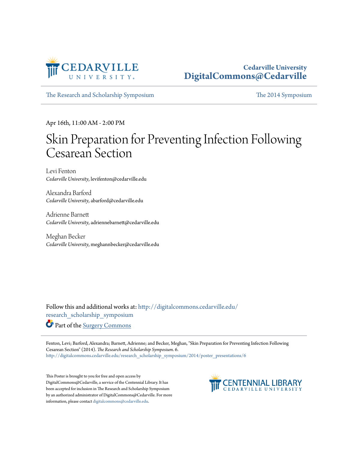

#### **Cedarville University [DigitalCommons@Cedarville](http://digitalcommons.cedarville.edu?utm_source=digitalcommons.cedarville.edu%2Fresearch_scholarship_symposium%2F2014%2Fposter_presentations%2F6&utm_medium=PDF&utm_campaign=PDFCoverPages)**

[The Research and Scholarship Symposium](http://digitalcommons.cedarville.edu/research_scholarship_symposium?utm_source=digitalcommons.cedarville.edu%2Fresearch_scholarship_symposium%2F2014%2Fposter_presentations%2F6&utm_medium=PDF&utm_campaign=PDFCoverPages) [The 2014 Symposium](http://digitalcommons.cedarville.edu/research_scholarship_symposium/2014?utm_source=digitalcommons.cedarville.edu%2Fresearch_scholarship_symposium%2F2014%2Fposter_presentations%2F6&utm_medium=PDF&utm_campaign=PDFCoverPages)

Apr 16th, 11:00 AM - 2:00 PM

#### Skin Preparation for Preventing Infection Following Cesarean Section

Levi Fenton *Cedarville University*, levifenton@cedarville.edu

Alexandra Barford *Cedarville University*, abarford@cedarville.edu

Adrienne Barnett *Cedarville University*, adriennebarnett@cedarville.edu

Meghan Becker *Cedarville University*, meghannbecker@cedarville.edu

Follow this and additional works at: [http://digitalcommons.cedarville.edu/](http://digitalcommons.cedarville.edu/research_scholarship_symposium?utm_source=digitalcommons.cedarville.edu%2Fresearch_scholarship_symposium%2F2014%2Fposter_presentations%2F6&utm_medium=PDF&utm_campaign=PDFCoverPages) [research\\_scholarship\\_symposium](http://digitalcommons.cedarville.edu/research_scholarship_symposium?utm_source=digitalcommons.cedarville.edu%2Fresearch_scholarship_symposium%2F2014%2Fposter_presentations%2F6&utm_medium=PDF&utm_campaign=PDFCoverPages)

Part of the [Surgery Commons](http://network.bepress.com/hgg/discipline/706?utm_source=digitalcommons.cedarville.edu%2Fresearch_scholarship_symposium%2F2014%2Fposter_presentations%2F6&utm_medium=PDF&utm_campaign=PDFCoverPages)

Fenton, Levi; Barford, Alexandra; Barnett, Adrienne; and Becker, Meghan, "Skin Preparation for Preventing Infection Following Cesarean Section" (2014). *The Research and Scholarship Symposium*. 6. [http://digitalcommons.cedarville.edu/research\\_scholarship\\_symposium/2014/poster\\_presentations/6](http://digitalcommons.cedarville.edu/research_scholarship_symposium/2014/poster_presentations/6?utm_source=digitalcommons.cedarville.edu%2Fresearch_scholarship_symposium%2F2014%2Fposter_presentations%2F6&utm_medium=PDF&utm_campaign=PDFCoverPages)

This Poster is brought to you for free and open access by DigitalCommons@Cedarville, a service of the Centennial Library. It has been accepted for inclusion in The Research and Scholarship Symposium by an authorized administrator of DigitalCommons@Cedarville. For more information, please contact [digitalcommons@cedarville.edu.](mailto:digitalcommons@cedarville.edu)